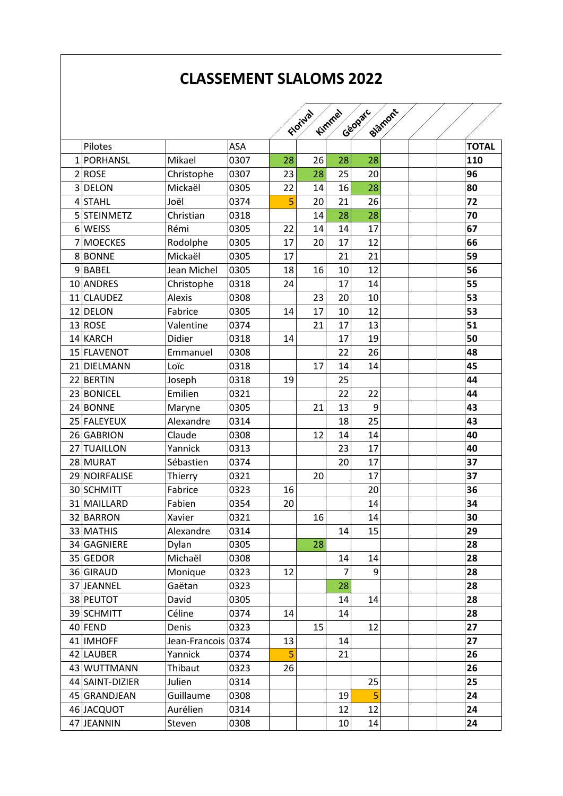## **CLASSEMENT SLALOMS 2022**

| Geoparc<br>Biamont<br>Kimmel<br>Florival<br><b>TOTAL</b><br>Pilotes<br>ASA<br>26<br>1 PORHANSL<br>Mikael<br>0307<br>28<br>110<br>28<br>28<br>28<br>20<br>2 ROSE<br>0307<br>23<br>25<br>96<br>Christophe<br>28<br>Mickaël<br>0305<br>22<br>80<br>3 DELON<br>16<br>14<br>21<br>26<br>20<br>72<br><b>STAHL</b><br>0374<br>5<br>Joël<br>4<br>0318<br>28<br>5 STEINMETZ<br>Christian<br>14<br>28<br>70<br>14<br>17<br>67<br>6 WEISS<br>Rémi<br>0305<br>22<br>14 |
|------------------------------------------------------------------------------------------------------------------------------------------------------------------------------------------------------------------------------------------------------------------------------------------------------------------------------------------------------------------------------------------------------------------------------------------------------------|
|                                                                                                                                                                                                                                                                                                                                                                                                                                                            |
|                                                                                                                                                                                                                                                                                                                                                                                                                                                            |
|                                                                                                                                                                                                                                                                                                                                                                                                                                                            |
|                                                                                                                                                                                                                                                                                                                                                                                                                                                            |
|                                                                                                                                                                                                                                                                                                                                                                                                                                                            |
|                                                                                                                                                                                                                                                                                                                                                                                                                                                            |
|                                                                                                                                                                                                                                                                                                                                                                                                                                                            |
|                                                                                                                                                                                                                                                                                                                                                                                                                                                            |
| 12<br><b>MOECKES</b><br>0305<br>17<br>20<br>17<br>66<br>Rodolphe<br>7                                                                                                                                                                                                                                                                                                                                                                                      |
| 21<br>8BONNE<br>Mickaël<br>0305<br>17<br>21<br>59                                                                                                                                                                                                                                                                                                                                                                                                          |
| 9BABEL<br>10<br>12<br>56<br>Jean Michel<br>0305<br>18<br>16                                                                                                                                                                                                                                                                                                                                                                                                |
| 0318<br>55<br>10 ANDRES<br>17<br>14<br>Christophe<br>24                                                                                                                                                                                                                                                                                                                                                                                                    |
| 20<br>10<br>53<br>11 CLAUDEZ<br><b>Alexis</b><br>0308<br>23                                                                                                                                                                                                                                                                                                                                                                                                |
| 12<br>53<br>12 DELON<br>Fabrice<br>0305<br>17<br>10<br>14                                                                                                                                                                                                                                                                                                                                                                                                  |
| 17<br>13<br>21<br>51<br>13 ROSE<br>Valentine<br>0374                                                                                                                                                                                                                                                                                                                                                                                                       |
| 14 KARCH<br>Didier<br>0318<br>17<br>19<br>50<br>14                                                                                                                                                                                                                                                                                                                                                                                                         |
| 15 FLAVENOT<br>0308<br>22<br>26<br>48<br>Emmanuel                                                                                                                                                                                                                                                                                                                                                                                                          |
| 14<br><b>DIELMANN</b><br>Loïc<br>0318<br>17<br>14<br>45<br>21                                                                                                                                                                                                                                                                                                                                                                                              |
| 0318<br>22 BERTIN<br>25<br>44<br>19<br>Joseph                                                                                                                                                                                                                                                                                                                                                                                                              |
| 22<br>22<br>23 BONICEL<br>Emilien<br>0321<br>44                                                                                                                                                                                                                                                                                                                                                                                                            |
| 9<br>13<br>24 BONNE<br>0305<br>21<br>43<br>Maryne                                                                                                                                                                                                                                                                                                                                                                                                          |
| 25<br>43<br>25 FALEYEUX<br>Alexandre<br>0314<br>18                                                                                                                                                                                                                                                                                                                                                                                                         |
| 14<br>26 GABRION<br>0308<br>12<br>14<br>40<br>Claude                                                                                                                                                                                                                                                                                                                                                                                                       |
| Yannick<br>0313<br>17<br>40<br>27 TUAILLON<br>23                                                                                                                                                                                                                                                                                                                                                                                                           |
| 20<br>28 MURAT<br>17<br>Sébastien<br>0374<br>37                                                                                                                                                                                                                                                                                                                                                                                                            |
| 0321<br>17<br>29 NOIRFALISE<br>20<br>37<br>Thierry                                                                                                                                                                                                                                                                                                                                                                                                         |
| Fabrice<br>36<br>30 SCHMITT<br>0323<br>16<br>20                                                                                                                                                                                                                                                                                                                                                                                                            |
| 0354<br>14<br>34<br>MAILLARD<br>Fabien<br>20<br>31                                                                                                                                                                                                                                                                                                                                                                                                         |
| 0321<br>14<br>30<br>32 BARRON<br>16<br>Xavier                                                                                                                                                                                                                                                                                                                                                                                                              |
| 33 MATHIS<br>Alexandre<br>0314<br>14<br>15<br>29                                                                                                                                                                                                                                                                                                                                                                                                           |
| 0305<br>28<br>34 GAGNIERE<br>28<br>Dylan                                                                                                                                                                                                                                                                                                                                                                                                                   |
| Michaël<br>35 GEDOR<br>0308<br>14<br>28<br>14                                                                                                                                                                                                                                                                                                                                                                                                              |
| $\overline{7}$<br>9<br>28<br>36 GIRAUD<br>Monique<br>0323<br>12                                                                                                                                                                                                                                                                                                                                                                                            |
| 28<br>37 JEANNEL<br>0323<br>28<br>Gaëtan                                                                                                                                                                                                                                                                                                                                                                                                                   |
| 38 PEUTOT<br>David<br>0305<br>28<br>14<br>14                                                                                                                                                                                                                                                                                                                                                                                                               |
| 0374<br>28<br>39 SCHMITT<br>Céline<br>14<br>14                                                                                                                                                                                                                                                                                                                                                                                                             |
| $40$ FEND<br>0323<br>15<br>12<br>27<br>Denis                                                                                                                                                                                                                                                                                                                                                                                                               |
| 27<br>0374<br>41 IMHOFF<br>Jean-Francois<br>13<br>14                                                                                                                                                                                                                                                                                                                                                                                                       |
| 42 LAUBER<br>Yannick<br>5<br>21<br>26<br>0374                                                                                                                                                                                                                                                                                                                                                                                                              |
| 26<br>43 WUTTMANN<br>Thibaut<br>0323<br>26                                                                                                                                                                                                                                                                                                                                                                                                                 |
| Julien<br>25<br>25<br>0314<br>44 SAINT-DIZIER                                                                                                                                                                                                                                                                                                                                                                                                              |
| 5<br>24<br>45 GRANDJEAN<br>Guillaume<br>0308<br>19                                                                                                                                                                                                                                                                                                                                                                                                         |
| 0314<br>12<br>24<br>46 JACQUOT<br>Aurélien<br>12                                                                                                                                                                                                                                                                                                                                                                                                           |
| 47 JEANNIN<br>0308<br>10<br>14<br>Steven<br>24                                                                                                                                                                                                                                                                                                                                                                                                             |